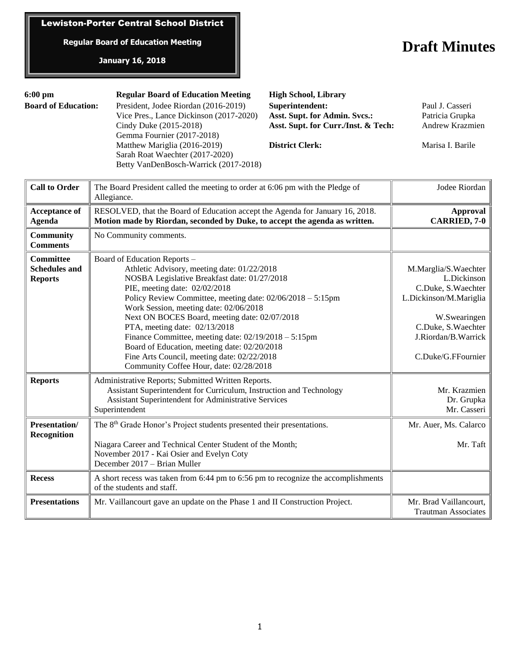# Lewiston-Porter Central School District

**Regular Board of Education Meeting**

## **January 16, 2018**

# **Draft Minutes**

| $6:00 \text{ pm}$          | <b>Regular Board of Education Meeting</b>                                                                | <b>High School, Library</b>         |                        |
|----------------------------|----------------------------------------------------------------------------------------------------------|-------------------------------------|------------------------|
| <b>Board of Education:</b> | President, Jodee Riordan (2016-2019)                                                                     | Superintendent:                     | Paul J. Casseri        |
|                            | Vice Pres., Lance Dickinson (2017-2020)                                                                  | Asst. Supt. for Admin. Svcs.:       | Patricia Grupka        |
|                            | Cindy Duke (2015-2018)                                                                                   | Asst. Supt. for Curr./Inst. & Tech: | <b>Andrew Krazmien</b> |
|                            | Gemma Fournier (2017-2018)                                                                               |                                     |                        |
|                            | Matthew Mariglia (2016-2019)<br>Sarah Roat Waechter (2017-2020)<br>Betty VanDenBosch-Warrick (2017-2018) | <b>District Clerk:</b>              | Marisa I. Barile       |

| <b>Call to Order</b>                                       | The Board President called the meeting to order at 6:06 pm with the Pledge of<br>Allegiance.                                                                                                                                                                                                                                                                                                                                                                                                                                                                | Jodee Riordan                                                                                                                                                          |
|------------------------------------------------------------|-------------------------------------------------------------------------------------------------------------------------------------------------------------------------------------------------------------------------------------------------------------------------------------------------------------------------------------------------------------------------------------------------------------------------------------------------------------------------------------------------------------------------------------------------------------|------------------------------------------------------------------------------------------------------------------------------------------------------------------------|
| <b>Acceptance of</b><br><b>Agenda</b>                      | RESOLVED, that the Board of Education accept the Agenda for January 16, 2018.<br>Motion made by Riordan, seconded by Duke, to accept the agenda as written.                                                                                                                                                                                                                                                                                                                                                                                                 | <b>Approval</b><br><b>CARRIED, 7-0</b>                                                                                                                                 |
| <b>Community</b><br><b>Comments</b>                        | No Community comments.                                                                                                                                                                                                                                                                                                                                                                                                                                                                                                                                      |                                                                                                                                                                        |
| <b>Committee</b><br><b>Schedules and</b><br><b>Reports</b> | Board of Education Reports -<br>Athletic Advisory, meeting date: 01/22/2018<br>NOSBA Legislative Breakfast date: 01/27/2018<br>PIE, meeting date: 02/02/2018<br>Policy Review Committee, meeting date: 02/06/2018 - 5:15pm<br>Work Session, meeting date: 02/06/2018<br>Next ON BOCES Board, meeting date: 02/07/2018<br>PTA, meeting date: 02/13/2018<br>Finance Committee, meeting date: $02/19/2018 - 5:15$ pm<br>Board of Education, meeting date: 02/20/2018<br>Fine Arts Council, meeting date: 02/22/2018<br>Community Coffee Hour, date: 02/28/2018 | M.Marglia/S.Waechter<br>L.Dickinson<br>C.Duke, S.Waechter<br>L.Dickinson/M.Mariglia<br>W.Swearingen<br>C.Duke, S.Waechter<br>J.Riordan/B.Warrick<br>C.Duke/G.FFournier |
| <b>Reports</b>                                             | Administrative Reports; Submitted Written Reports.<br>Assistant Superintendent for Curriculum, Instruction and Technology<br>Assistant Superintendent for Administrative Services<br>Superintendent                                                                                                                                                                                                                                                                                                                                                         | Mr. Krazmien<br>Dr. Grupka<br>Mr. Casseri                                                                                                                              |
| Presentation/<br>Recognition                               | The 8 <sup>th</sup> Grade Honor's Project students presented their presentations.<br>Niagara Career and Technical Center Student of the Month;<br>November 2017 - Kai Osier and Evelyn Coty<br>December 2017 - Brian Muller                                                                                                                                                                                                                                                                                                                                 | Mr. Auer, Ms. Calarco<br>Mr. Taft                                                                                                                                      |
| <b>Recess</b>                                              | A short recess was taken from 6:44 pm to 6:56 pm to recognize the accomplishments<br>of the students and staff.                                                                                                                                                                                                                                                                                                                                                                                                                                             |                                                                                                                                                                        |
| <b>Presentations</b>                                       | Mr. Vaillancourt gave an update on the Phase 1 and II Construction Project.                                                                                                                                                                                                                                                                                                                                                                                                                                                                                 | Mr. Brad Vaillancourt,<br><b>Trautman Associates</b>                                                                                                                   |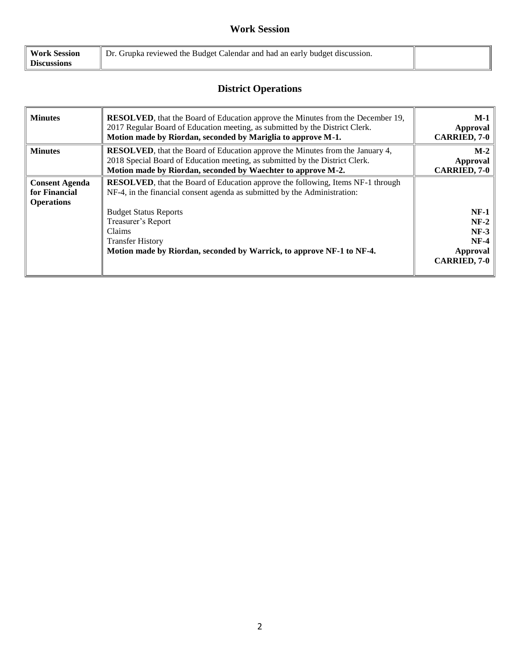# **Work Session**

| <b>Work Session</b> | Dr. Grupka reviewed the Budget Calendar and had an early budget discussion. |  |
|---------------------|-----------------------------------------------------------------------------|--|
| <b>Discussions</b>  |                                                                             |  |

# **District Operations**

| <b>Minutes</b>                                              | <b>RESOLVED</b> , that the Board of Education approve the Minutes from the December 19,<br>2017 Regular Board of Education meeting, as submitted by the District Clerk.<br>Motion made by Riordan, seconded by Mariglia to approve M-1.                                                                                                  | $M-1$<br>Approval<br><b>CARRIED, 7-0</b>                                |
|-------------------------------------------------------------|------------------------------------------------------------------------------------------------------------------------------------------------------------------------------------------------------------------------------------------------------------------------------------------------------------------------------------------|-------------------------------------------------------------------------|
| <b>Minutes</b>                                              | <b>RESOLVED</b> , that the Board of Education approve the Minutes from the January 4,<br>2018 Special Board of Education meeting, as submitted by the District Clerk.<br>Motion made by Riordan, seconded by Waechter to approve M-2.                                                                                                    | $M-2$<br>Approval<br><b>CARRIED, 7-0</b>                                |
| <b>Consent Agenda</b><br>for Financial<br><b>Operations</b> | <b>RESOLVED</b> , that the Board of Education approve the following, Items NF-1 through<br>NF-4, in the financial consent agenda as submitted by the Administration:<br><b>Budget Status Reports</b><br>Treasurer's Report<br>Claims<br><b>Transfer History</b><br>Motion made by Riordan, seconded by Warrick, to approve NF-1 to NF-4. | $NF-1$<br>$NF-2$<br>$NF-3$<br>$NF-4$<br>Approval<br><b>CARRIED, 7-0</b> |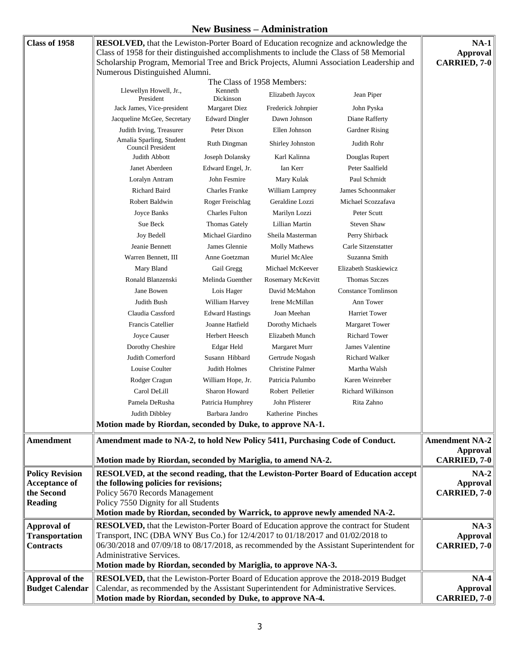### **New Business – Administration**

|                                                |                                                                                                                                                                                                                                                                                                           |                            | $1$ v $\mathbf{c}$ w Dusin $\mathbf{c}$ ss – Aunininsti ativii |                            |                                                                 |
|------------------------------------------------|-----------------------------------------------------------------------------------------------------------------------------------------------------------------------------------------------------------------------------------------------------------------------------------------------------------|----------------------------|----------------------------------------------------------------|----------------------------|-----------------------------------------------------------------|
| Class of 1958                                  | <b>RESOLVED,</b> that the Lewiston-Porter Board of Education recognize and acknowledge the<br>Class of 1958 for their distinguished accomplishments to include the Class of 58 Memorial                                                                                                                   |                            |                                                                |                            | $NA-1$<br><b>Approval</b>                                       |
|                                                | Scholarship Program, Memorial Tree and Brick Projects, Alumni Association Leadership and                                                                                                                                                                                                                  |                            |                                                                |                            | <b>CARRIED, 7-0</b>                                             |
|                                                | Numerous Distinguished Alumni.                                                                                                                                                                                                                                                                            | The Class of 1958 Members: |                                                                |                            |                                                                 |
|                                                | Llewellyn Howell, Jr.,<br>President                                                                                                                                                                                                                                                                       | Kenneth<br>Dickinson       | Elizabeth Jaycox                                               | Jean Piper                 |                                                                 |
|                                                | Jack James, Vice-president                                                                                                                                                                                                                                                                                | <b>Margaret Diez</b>       | Frederick Johnpier                                             | John Pyska                 |                                                                 |
|                                                | Jacqueline McGee, Secretary                                                                                                                                                                                                                                                                               | <b>Edward Dingler</b>      | Dawn Johnson                                                   | Diane Rafferty             |                                                                 |
|                                                | Judith Irving, Treasurer                                                                                                                                                                                                                                                                                  | Peter Dixon                | Ellen Johnson                                                  | Gardner Rising             |                                                                 |
|                                                | Amalia Sparling, Student<br>Council President                                                                                                                                                                                                                                                             | Ruth Dingman               | Shirley Johnston                                               | Judith Rohr                |                                                                 |
|                                                | Judith Abbott                                                                                                                                                                                                                                                                                             | Joseph Dolansky            | Karl Kalinna                                                   | Douglas Rupert             |                                                                 |
|                                                | Janet Aberdeen                                                                                                                                                                                                                                                                                            | Edward Engel, Jr.          | Ian Kerr                                                       | Peter Saalfield            |                                                                 |
|                                                | Loralyn Antram                                                                                                                                                                                                                                                                                            | John Fesmire               | Mary Kulak                                                     | Paul Schmidt               |                                                                 |
|                                                | Richard Baird                                                                                                                                                                                                                                                                                             | <b>Charles Franke</b>      | William Lamprey                                                | James Schoonmaker          |                                                                 |
|                                                | Robert Baldwin                                                                                                                                                                                                                                                                                            | Roger Freischlag           | Geraldine Lozzi                                                | Michael Scozzafava         |                                                                 |
|                                                | Joyce Banks                                                                                                                                                                                                                                                                                               | <b>Charles Fulton</b>      | Marilyn Lozzi                                                  | Peter Scutt                |                                                                 |
|                                                | Sue Beck                                                                                                                                                                                                                                                                                                  | Thomas Gately              | Lillian Martin                                                 | <b>Steven Shaw</b>         |                                                                 |
|                                                | <b>Joy Bedell</b>                                                                                                                                                                                                                                                                                         | Michael Giardino           | Sheila Masterman                                               | Perry Shirback             |                                                                 |
|                                                | Jeanie Bennett                                                                                                                                                                                                                                                                                            | James Glennie              | Molly Mathews                                                  | Carle Sitzenstatter        |                                                                 |
|                                                | Warren Bennett, III                                                                                                                                                                                                                                                                                       | Anne Goetzman              | Muriel McAlee                                                  | Suzanna Smith              |                                                                 |
|                                                | Mary Bland                                                                                                                                                                                                                                                                                                | Gail Gregg                 | Michael McKeever                                               | Elizabeth Staskiewicz      |                                                                 |
|                                                | Ronald Blanzenski                                                                                                                                                                                                                                                                                         | Melinda Guenther           | Rosemary McKevitt                                              | <b>Thomas Szczes</b>       |                                                                 |
|                                                | Jane Bowen                                                                                                                                                                                                                                                                                                | Lois Hager                 | David McMahon                                                  | <b>Constance Tomlinson</b> |                                                                 |
|                                                | Judith Bush                                                                                                                                                                                                                                                                                               | William Harvey             | Irene McMillan                                                 | Ann Tower                  |                                                                 |
|                                                | Claudia Cassford                                                                                                                                                                                                                                                                                          | <b>Edward Hastings</b>     | Joan Meehan                                                    | <b>Harriet Tower</b>       |                                                                 |
|                                                | <b>Francis Catellier</b>                                                                                                                                                                                                                                                                                  | Joanne Hatfield            | Dorothy Michaels                                               | <b>Margaret Tower</b>      |                                                                 |
|                                                | Joyce Causer                                                                                                                                                                                                                                                                                              | Herbert Heesch             | Elizabeth Munch                                                | <b>Richard Tower</b>       |                                                                 |
|                                                | Dorothy Cheshire                                                                                                                                                                                                                                                                                          | Edgar Held                 | Margaret Murr                                                  | James Valentine            |                                                                 |
|                                                | Judith Comerford                                                                                                                                                                                                                                                                                          | Susann Hibbard             | Gertrude Nogash                                                | Richard Walker             |                                                                 |
|                                                | Louise Coulter                                                                                                                                                                                                                                                                                            | <b>Judith Holmes</b>       | <b>Christine Palmer</b>                                        | Martha Walsh               |                                                                 |
|                                                | Rodger Cragun                                                                                                                                                                                                                                                                                             | William Hope, Jr.          | Patricia Palumbo                                               | Karen Weinreber            |                                                                 |
|                                                | Carol DeLill                                                                                                                                                                                                                                                                                              | Sharon Howard              | Robert Pelletier                                               | <b>Richard Wilkinson</b>   |                                                                 |
|                                                | Pamela DeRusha                                                                                                                                                                                                                                                                                            | Patricia Humphrey          | John Pfisterer                                                 | Rita Zahno                 |                                                                 |
|                                                | Judith Dibbley                                                                                                                                                                                                                                                                                            | Barbara Jandro             | Katherine Pinches                                              |                            |                                                                 |
|                                                | Motion made by Riordan, seconded by Duke, to approve NA-1.                                                                                                                                                                                                                                                |                            |                                                                |                            |                                                                 |
|                                                |                                                                                                                                                                                                                                                                                                           |                            |                                                                |                            |                                                                 |
| <b>Amendment</b>                               | Amendment made to NA-2, to hold New Policy 5411, Purchasing Code of Conduct.<br>Motion made by Riordan, seconded by Mariglia, to amend NA-2.                                                                                                                                                              |                            |                                                                |                            | <b>Amendment NA-2</b><br><b>Approval</b><br><b>CARRIED, 7-0</b> |
|                                                |                                                                                                                                                                                                                                                                                                           |                            |                                                                |                            |                                                                 |
| <b>Policy Revision</b><br><b>Acceptance of</b> | RESOLVED, at the second reading, that the Lewiston-Porter Board of Education accept<br>the following policies for revisions;                                                                                                                                                                              |                            |                                                                |                            | $NA-2$<br><b>Approval</b>                                       |
| the Second                                     | Policy 5670 Records Management                                                                                                                                                                                                                                                                            |                            |                                                                |                            | <b>CARRIED, 7-0</b>                                             |
| <b>Reading</b>                                 | Policy 7550 Dignity for all Students                                                                                                                                                                                                                                                                      |                            |                                                                |                            |                                                                 |
|                                                | Motion made by Riordan, seconded by Warrick, to approve newly amended NA-2.                                                                                                                                                                                                                               |                            |                                                                |                            |                                                                 |
| Approval of                                    |                                                                                                                                                                                                                                                                                                           |                            |                                                                |                            | $NA-3$                                                          |
| <b>Transportation</b>                          | <b>RESOLVED</b> , that the Lewiston-Porter Board of Education approve the contract for Student<br>Transport, INC (DBA WNY Bus Co.) for 12/4/2017 to 01/18/2017 and 01/02/2018 to<br>06/30/2018 and 07/09/18 to 08/17/2018, as recommended by the Assistant Superintendent for<br>Administrative Services. |                            |                                                                |                            | <b>Approval</b>                                                 |
| <b>Contracts</b>                               |                                                                                                                                                                                                                                                                                                           |                            |                                                                |                            | <b>CARRIED, 7-0</b>                                             |
|                                                |                                                                                                                                                                                                                                                                                                           |                            |                                                                |                            |                                                                 |
|                                                | Motion made by Riordan, seconded by Mariglia, to approve NA-3.                                                                                                                                                                                                                                            |                            |                                                                |                            |                                                                 |
| Approval of the                                | <b>RESOLVED</b> , that the Lewiston-Porter Board of Education approve the 2018-2019 Budget                                                                                                                                                                                                                |                            |                                                                |                            | $NA-4$                                                          |
| <b>Budget Calendar</b>                         | Calendar, as recommended by the Assistant Superintendent for Administrative Services.                                                                                                                                                                                                                     |                            |                                                                |                            | <b>Approval</b>                                                 |
|                                                | Motion made by Riordan, seconded by Duke, to approve NA-4.                                                                                                                                                                                                                                                |                            |                                                                |                            | <b>CARRIED, 7-0</b>                                             |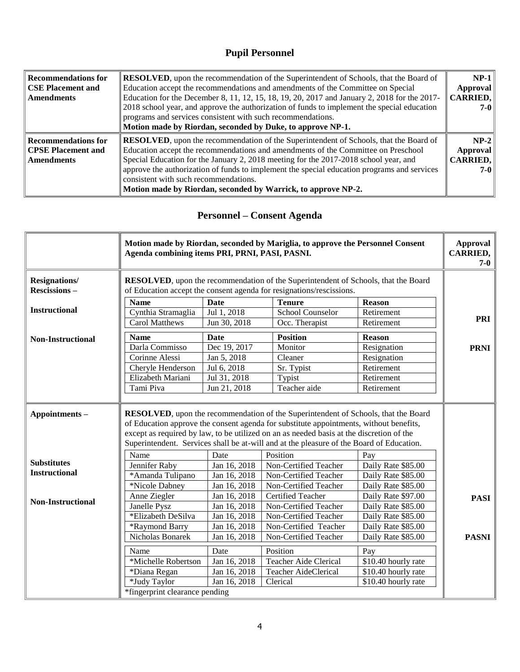# **Pupil Personnel**

| $\parallel$ Recommendations for | <b>RESOLVED</b> , upon the recommendation of the Superintendent of Schools, that the Board of            |                 |  |
|---------------------------------|----------------------------------------------------------------------------------------------------------|-----------------|--|
| CSE Placement and               | Education accept the recommendations and amendments of the Committee on Special                          |                 |  |
| <b>Amendments</b>               | Education for the December 8, 11, 12, 15, 18, 19, 20, 2017 and January 2, 2018 for the 2017-<br>CARRIED, |                 |  |
|                                 | 2018 school year, and approve the authorization of funds to implement the special education              |                 |  |
|                                 | programs and services consistent with such recommendations.                                              |                 |  |
|                                 | Motion made by Riordan, seconded by Duke, to approve NP-1.                                               |                 |  |
| $\parallel$ Recommendations for | <b>RESOLVED</b> , upon the recommendation of the Superintendent of Schools, that the Board of            | $NP-2$          |  |
| CPSE Placement and              | Education accept the recommendations and amendments of the Committee on Preschool                        | Approval        |  |
| <b>Amendments</b>               | Special Education for the January 2, 2018 meeting for the 2017-2018 school year, and                     | <b>CARRIED,</b> |  |
|                                 | approve the authorization of funds to implement the special education programs and services              | $7 - 0$         |  |
|                                 | consistent with such recommendations.                                                                    |                 |  |
|                                 | Motion made by Riordan, seconded by Warrick, to approve NP-2.                                            |                 |  |
|                                 |                                                                                                          |                 |  |

# **Personnel – Consent Agenda**

|                                             | Motion made by Riordan, seconded by Mariglia, to approve the Personnel Consent<br>Agenda combining items PRI, PRNI, PASI, PASNI.                                                                                                                                                                                                                                             |                                                                                                                                                            |                              | <b>Approval</b><br><b>CARRIED,</b><br>$7-0$ |              |
|---------------------------------------------|------------------------------------------------------------------------------------------------------------------------------------------------------------------------------------------------------------------------------------------------------------------------------------------------------------------------------------------------------------------------------|------------------------------------------------------------------------------------------------------------------------------------------------------------|------------------------------|---------------------------------------------|--------------|
| <b>Resignations/</b><br><b>Rescissions-</b> |                                                                                                                                                                                                                                                                                                                                                                              | RESOLVED, upon the recommendation of the Superintendent of Schools, that the Board<br>of Education accept the consent agenda for resignations/rescissions. |                              |                                             |              |
|                                             | <b>Name</b>                                                                                                                                                                                                                                                                                                                                                                  | <b>Date</b>                                                                                                                                                | <b>Tenure</b>                | <b>Reason</b>                               |              |
| <b>Instructional</b>                        | Cynthia Stramaglia                                                                                                                                                                                                                                                                                                                                                           | Jul 1, 2018                                                                                                                                                | School Counselor             | Retirement                                  |              |
|                                             | <b>Carol Matthews</b>                                                                                                                                                                                                                                                                                                                                                        | Jun 30, 2018                                                                                                                                               | Occ. Therapist               | Retirement                                  | <b>PRI</b>   |
| <b>Non-Instructional</b>                    | <b>Name</b>                                                                                                                                                                                                                                                                                                                                                                  | <b>Date</b>                                                                                                                                                | <b>Position</b>              | <b>Reason</b>                               |              |
|                                             | Darla Commisso                                                                                                                                                                                                                                                                                                                                                               | Dec 19, 2017                                                                                                                                               | Monitor                      | Resignation                                 | <b>PRNI</b>  |
|                                             | Corinne Alessi                                                                                                                                                                                                                                                                                                                                                               | Jan 5, 2018                                                                                                                                                | Cleaner                      | Resignation                                 |              |
|                                             | Cheryle Henderson                                                                                                                                                                                                                                                                                                                                                            | Jul 6, 2018                                                                                                                                                | Sr. Typist                   | Retirement                                  |              |
|                                             | Elizabeth Mariani                                                                                                                                                                                                                                                                                                                                                            | Jul 31, 2018                                                                                                                                               | Typist                       | Retirement                                  |              |
|                                             | Tami Piva                                                                                                                                                                                                                                                                                                                                                                    | Jun 21, 2018                                                                                                                                               | Teacher aide                 | Retirement                                  |              |
|                                             |                                                                                                                                                                                                                                                                                                                                                                              |                                                                                                                                                            |                              |                                             |              |
| Appointments-                               | <b>RESOLVED</b> , upon the recommendation of the Superintendent of Schools, that the Board<br>of Education approve the consent agenda for substitute appointments, without benefits,<br>except as required by law, to be utilized on an as needed basis at the discretion of the<br>Superintendent. Services shall be at-will and at the pleasure of the Board of Education. |                                                                                                                                                            |                              |                                             |              |
|                                             | Name                                                                                                                                                                                                                                                                                                                                                                         | Date                                                                                                                                                       | Position                     | Pay                                         |              |
| <b>Substitutes</b>                          | Jennifer Raby                                                                                                                                                                                                                                                                                                                                                                | Jan 16, 2018                                                                                                                                               | Non-Certified Teacher        | Daily Rate \$85.00                          |              |
| <b>Instructional</b>                        | *Amanda Tulipano                                                                                                                                                                                                                                                                                                                                                             | Jan 16, 2018                                                                                                                                               | Non-Certified Teacher        | Daily Rate \$85.00                          |              |
|                                             | *Nicole Dabney                                                                                                                                                                                                                                                                                                                                                               | Jan 16, 2018                                                                                                                                               | Non-Certified Teacher        | Daily Rate \$85.00                          |              |
| <b>Non-Instructional</b>                    | Anne Ziegler                                                                                                                                                                                                                                                                                                                                                                 | Jan 16, 2018                                                                                                                                               | Certified Teacher            | Daily Rate \$97.00                          | <b>PASI</b>  |
|                                             | Janelle Pysz                                                                                                                                                                                                                                                                                                                                                                 | Jan 16, 2018                                                                                                                                               | Non-Certified Teacher        | Daily Rate \$85.00                          |              |
|                                             | *Elizabeth DeSilva                                                                                                                                                                                                                                                                                                                                                           | Jan 16, 2018                                                                                                                                               | Non-Certified Teacher        | Daily Rate \$85.00                          |              |
|                                             | *Raymond Barry                                                                                                                                                                                                                                                                                                                                                               | Jan 16, 2018                                                                                                                                               | Non-Certified Teacher        | Daily Rate \$85.00                          |              |
|                                             | Nicholas Bonarek                                                                                                                                                                                                                                                                                                                                                             | Jan 16, 2018                                                                                                                                               | Non-Certified Teacher        | Daily Rate \$85.00                          | <b>PASNI</b> |
|                                             | Name                                                                                                                                                                                                                                                                                                                                                                         | Date                                                                                                                                                       | Position                     | Pay                                         |              |
|                                             | *Michelle Robertson                                                                                                                                                                                                                                                                                                                                                          | Jan 16, 2018                                                                                                                                               | <b>Teacher Aide Clerical</b> | \$10.40 hourly rate                         |              |
|                                             | *Diana Regan                                                                                                                                                                                                                                                                                                                                                                 | Jan 16, 2018                                                                                                                                               | Teacher AideClerical         | \$10.40 hourly rate                         |              |
|                                             | *Judy Taylor                                                                                                                                                                                                                                                                                                                                                                 | Jan 16, 2018                                                                                                                                               | Clerical                     | \$10.40 hourly rate                         |              |
|                                             | *fingerprint clearance pending                                                                                                                                                                                                                                                                                                                                               |                                                                                                                                                            |                              |                                             |              |